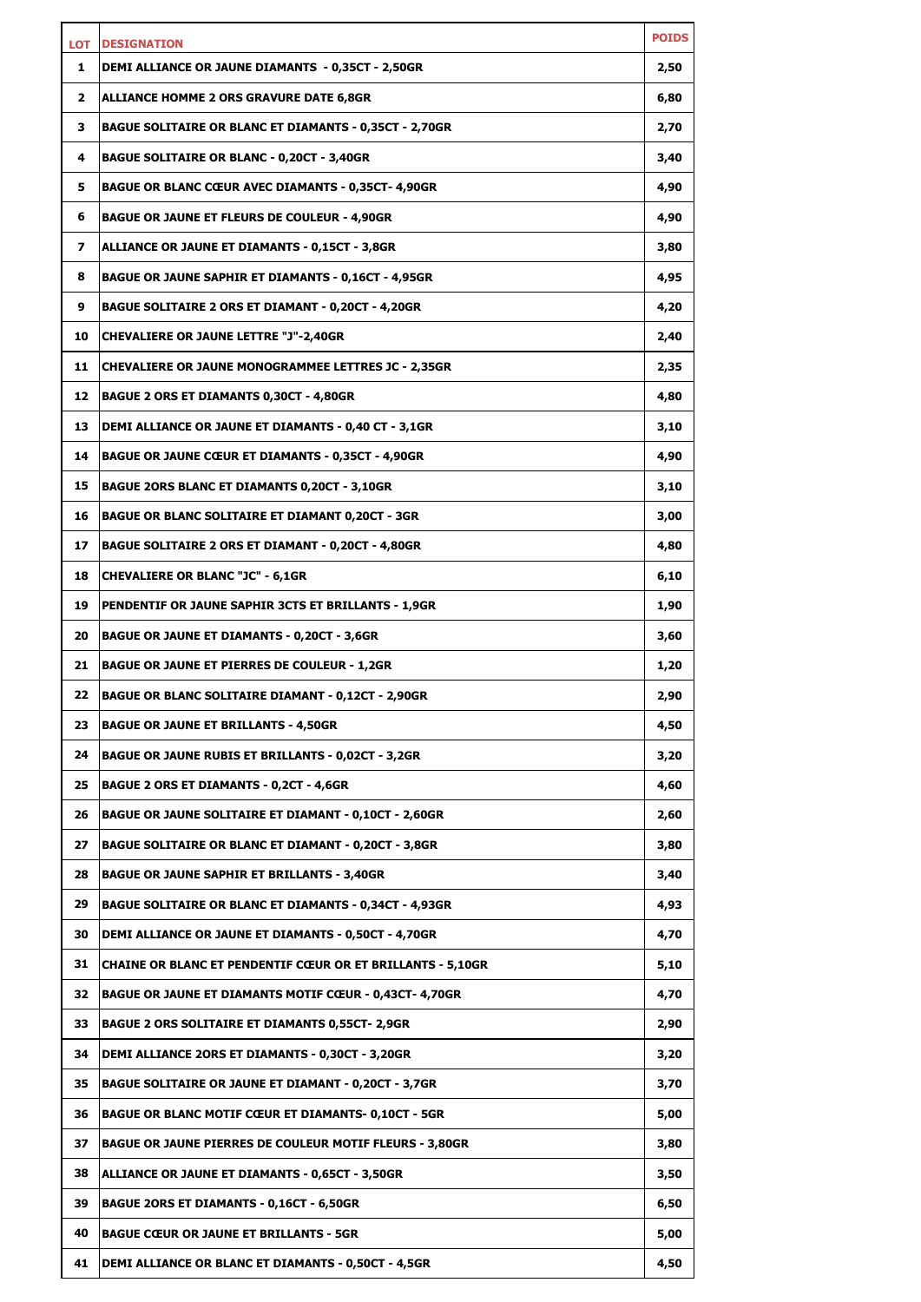| LOT | <b>DESIGNATION</b>                                                | <b>POIDS</b> |
|-----|-------------------------------------------------------------------|--------------|
| 1   | DEMI ALLIANCE OR JAUNE DIAMANTS - 0,35CT - 2,50GR                 | 2,50         |
| 2   | ALLIANCE HOMME 2 ORS GRAVURE DATE 6,8GR                           | 6,80         |
| з   | <b>BAGUE SOLITAIRE OR BLANC ET DIAMANTS - 0,35CT - 2,70GR</b>     | 2,70         |
| 4   | <b>BAGUE SOLITAIRE OR BLANC - 0,20CT - 3,40GR</b>                 | 3,40         |
| 5   | <b>BAGUE OR BLANC CŒUR AVEC DIAMANTS - 0,35CT- 4,90GR</b>         | 4,90         |
| 6   | <b>BAGUE OR JAUNE ET FLEURS DE COULEUR - 4,90GR</b>               | 4,90         |
| 7   | ALLIANCE OR JAUNE ET DIAMANTS - 0,15CT - 3,8GR                    | 3,80         |
| 8   | <b>BAGUE OR JAUNE SAPHIR ET DIAMANTS - 0,16CT - 4,95GR</b>        | 4,95         |
| 9   | <b>BAGUE SOLITAIRE 2 ORS ET DIAMANT - 0,20CT - 4,20GR</b>         | 4,20         |
| 10  | <b>CHEVALIERE OR JAUNE LETTRE "J"-2,40GR</b>                      | 2,40         |
| 11  | <b>CHEVALIERE OR JAUNE MONOGRAMMEE LETTRES JC - 2,35GR</b>        | 2,35         |
| 12  | <b>BAGUE 2 ORS ET DIAMANTS 0,30CT - 4,80GR</b>                    | 4,80         |
| 13  | DEMI ALLIANCE OR JAUNE ET DIAMANTS - 0,40 CT - 3,1GR              | 3,10         |
| 14  | <b>BAGUE OR JAUNE CŒUR ET DIAMANTS - 0,35CT - 4,90GR</b>          | 4,90         |
| 15  | <b>BAGUE 2ORS BLANC ET DIAMANTS 0,20CT - 3,10GR</b>               | 3,10         |
| 16  | BAGUE OR BLANC SOLITAIRE ET DIAMANT 0,20CT - 3GR                  | 3,00         |
| 17  | BAGUE SOLITAIRE 2 ORS ET DIAMANT - 0,20CT - 4,80GR                | 4,80         |
| 18  | <b>CHEVALIERE OR BLANC "JC" - 6,1GR</b>                           | 6,10         |
| 19  | PENDENTIF OR JAUNE SAPHIR 3CTS ET BRILLANTS - 1,9GR               | 1,90         |
| 20  | <b>BAGUE OR JAUNE ET DIAMANTS - 0,20CT - 3,6GR</b>                | 3,60         |
| 21  | <b>BAGUE OR JAUNE ET PIERRES DE COULEUR - 1,2GR</b>               | 1,20         |
| 22  | BAGUE OR BLANC SOLITAIRE DIAMANT - 0,12CT - 2,90GR                | 2,90         |
| 23  | <b>BAGUE OR JAUNE ET BRILLANTS - 4,50GR</b>                       | 4,50         |
| 24  | <b>BAGUE OR JAUNE RUBIS ET BRILLANTS - 0,02CT - 3,2GR</b>         | 3,20         |
| 25  | <b>BAGUE 2 ORS ET DIAMANTS - 0,2CT - 4,6GR</b>                    | 4,60         |
| 26  | <b>BAGUE OR JAUNE SOLITAIRE ET DIAMANT - 0,10CT - 2,60GR</b>      | 2,60         |
| 27  | <b>BAGUE SOLITAIRE OR BLANC ET DIAMANT - 0,20CT - 3,8GR</b>       | 3,80         |
| 28  | <b>BAGUE OR JAUNE SAPHIR ET BRILLANTS - 3,40GR</b>                | 3,40         |
| 29  | <b>BAGUE SOLITAIRE OR BLANC ET DIAMANTS - 0,34CT - 4,93GR</b>     | 4,93         |
| 30  | DEMI ALLIANCE OR JAUNE ET DIAMANTS - 0,50CT - 4,70GR              | 4,70         |
| 31  | <b>CHAINE OR BLANC ET PENDENTIF CŒUR OR ET BRILLANTS - 5,10GR</b> | 5,10         |
| 32  | BAGUE OR JAUNE ET DIAMANTS MOTIF CŒUR - 0,43CT- 4,70GR            | 4,70         |
| 33  | <b>BAGUE 2 ORS SOLITAIRE ET DIAMANTS 0,55CT- 2,9GR</b>            | 2,90         |
| 34  | DEMI ALLIANCE 20RS ET DIAMANTS - 0,30CT - 3,20GR                  | 3,20         |
| 35  | <b>BAGUE SOLITAIRE OR JAUNE ET DIAMANT - 0,20CT - 3,7GR</b>       | 3,70         |
| 36  | <b>BAGUE OR BLANC MOTIF CŒUR ET DIAMANTS- 0,10CT - 5GR</b>        | 5,00         |
| 37  | <b>BAGUE OR JAUNE PIERRES DE COULEUR MOTIF FLEURS - 3,80GR</b>    | 3,80         |
| 38  | ALLIANCE OR JAUNE ET DIAMANTS - 0,65CT - 3,50GR                   | 3,50         |
| 39  | <b>BAGUE 2ORS ET DIAMANTS - 0,16CT - 6,50GR</b>                   | 6,50         |
| 40  | <b>BAGUE CŒUR OR JAUNE ET BRILLANTS - 5GR</b>                     | 5,00         |
| 41  | <b>DEMI ALLIANCE OR BLANC ET DIAMANTS - 0,50CT - 4,5GR</b>        | 4,50         |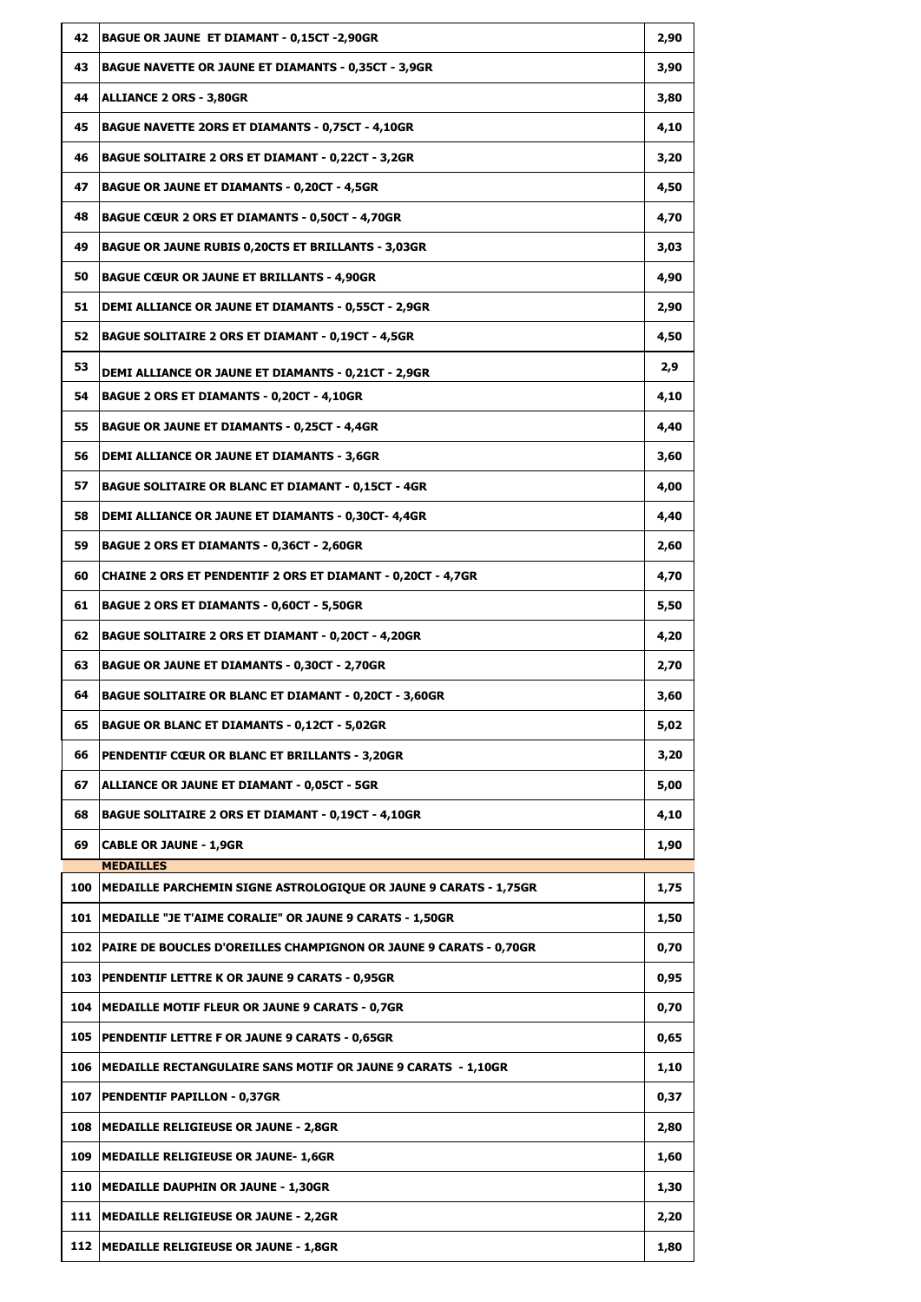| 42  | <b>BAGUE OR JAUNE ET DIAMANT - 0,15CT -2,90GR</b>                                                                            | 2,90 |
|-----|------------------------------------------------------------------------------------------------------------------------------|------|
| 43  | <b>BAGUE NAVETTE OR JAUNE ET DIAMANTS - 0,35CT - 3,9GR</b>                                                                   | 3,90 |
| 44  | <b>ALLIANCE 2 ORS - 3,80GR</b>                                                                                               | 3,80 |
| 45  | <b>BAGUE NAVETTE 2ORS ET DIAMANTS - 0,75CT - 4,10GR</b>                                                                      | 4,10 |
| 46  | <b>BAGUE SOLITAIRE 2 ORS ET DIAMANT - 0,22CT - 3,2GR</b>                                                                     | 3,20 |
| 47  | <b>BAGUE OR JAUNE ET DIAMANTS - 0,20CT - 4,5GR</b>                                                                           | 4,50 |
| 48  | <b>BAGUE CŒUR 2 ORS ET DIAMANTS - 0,50CT - 4,70GR</b>                                                                        | 4,70 |
| 49  | <b>BAGUE OR JAUNE RUBIS 0,20CTS ET BRILLANTS - 3,03GR</b>                                                                    | 3,03 |
| 50  | <b>BAGUE CŒUR OR JAUNE ET BRILLANTS - 4,90GR</b>                                                                             | 4,90 |
| 51  | <b>DEMI ALLIANCE OR JAUNE ET DIAMANTS - 0,55CT - 2,9GR</b>                                                                   | 2,90 |
| 52  | <b>BAGUE SOLITAIRE 2 ORS ET DIAMANT - 0,19CT - 4,5GR</b>                                                                     | 4,50 |
| 53  | DEMI ALLIANCE OR JAUNE ET DIAMANTS - 0,21CT - 2,9GR                                                                          | 2,9  |
| 54  | <b>BAGUE 2 ORS ET DIAMANTS - 0,20CT - 4,10GR</b>                                                                             | 4,10 |
| 55  | <b>BAGUE OR JAUNE ET DIAMANTS - 0,25CT - 4,4GR</b>                                                                           | 4,40 |
| 56  | <b>DEMI ALLIANCE OR JAUNE ET DIAMANTS - 3,6GR</b>                                                                            | 3,60 |
| 57  | <b>BAGUE SOLITAIRE OR BLANC ET DIAMANT - 0,15CT - 4GR</b>                                                                    | 4,00 |
| 58  | DEMI ALLIANCE OR JAUNE ET DIAMANTS - 0,30CT- 4,4GR                                                                           | 4,40 |
| 59  | <b>BAGUE 2 ORS ET DIAMANTS - 0,36CT - 2,60GR</b>                                                                             | 2,60 |
| 60  | <b>CHAINE 2 ORS ET PENDENTIF 2 ORS ET DIAMANT - 0,20CT - 4,7GR</b>                                                           | 4,70 |
| 61  | <b>BAGUE 2 ORS ET DIAMANTS - 0,60CT - 5,50GR</b>                                                                             | 5,50 |
| 62  | <b>BAGUE SOLITAIRE 2 ORS ET DIAMANT - 0,20CT - 4,20GR</b>                                                                    | 4,20 |
| 63  | <b>BAGUE OR JAUNE ET DIAMANTS - 0,30CT - 2,70GR</b>                                                                          | 2,70 |
| 64  | <b>BAGUE SOLITAIRE OR BLANC ET DIAMANT - 0,20CT - 3,60GR</b>                                                                 | 3,60 |
| 65  | <b>BAGUE OR BLANC ET DIAMANTS - 0,12CT - 5,02GR</b>                                                                          | 5,02 |
| 66  | <b>PENDENTIF CŒUR OR BLANC ET BRILLANTS - 3,20GR</b>                                                                         | 3,20 |
| 67  | ALLIANCE OR JAUNE ET DIAMANT - 0,05CT - 5GR                                                                                  | 5,00 |
| 68  | <b>BAGUE SOLITAIRE 2 ORS ET DIAMANT - 0,19CT - 4,10GR</b>                                                                    | 4,10 |
| 69  | <b>CABLE OR JAUNE - 1,9GR</b>                                                                                                | 1,90 |
|     | <b>MEDAILLES</b><br>100   MEDAILLE PARCHEMIN SIGNE ASTROLOGIQUE OR JAUNE 9 CARATS - 1,75GR                                   |      |
| 101 | MEDAILLE "JE T'AIME CORALIE" OR JAUNE 9 CARATS - 1,50GR                                                                      | 1,75 |
|     |                                                                                                                              | 1,50 |
|     | 102   PAIRE DE BOUCLES D'OREILLES CHAMPIGNON OR JAUNE 9 CARATS - 0,70GR<br>103 PENDENTIF LETTRE K OR JAUNE 9 CARATS - 0,95GR | 0,70 |
|     | 104 MEDAILLE MOTIF FLEUR OR JAUNE 9 CARATS - 0,7GR                                                                           | 0,95 |
|     |                                                                                                                              | 0,70 |
|     | 105   PENDENTIF LETTRE F OR JAUNE 9 CARATS - 0,65GR<br>106   MEDAILLE RECTANGULAIRE SANS MOTIF OR JAUNE 9 CARATS - 1,10GR    | 0,65 |
|     |                                                                                                                              | 1,10 |
|     | 107   PENDENTIF PAPILLON - 0,37GR                                                                                            | 0,37 |
|     | 108   MEDAILLE RELIGIEUSE OR JAUNE - 2,8GR<br>109   MEDAILLE RELIGIEUSE OR JAUNE- 1,6GR                                      | 2,80 |
|     |                                                                                                                              | 1,60 |
| 110 | MEDAILLE DAUPHIN OR JAUNE - 1,30GR<br>111   MEDAILLE RELIGIEUSE OR JAUNE - 2,2GR                                             | 1,30 |
|     |                                                                                                                              | 2,20 |
|     | 112   MEDAILLE RELIGIEUSE OR JAUNE - 1,8GR                                                                                   | 1,80 |